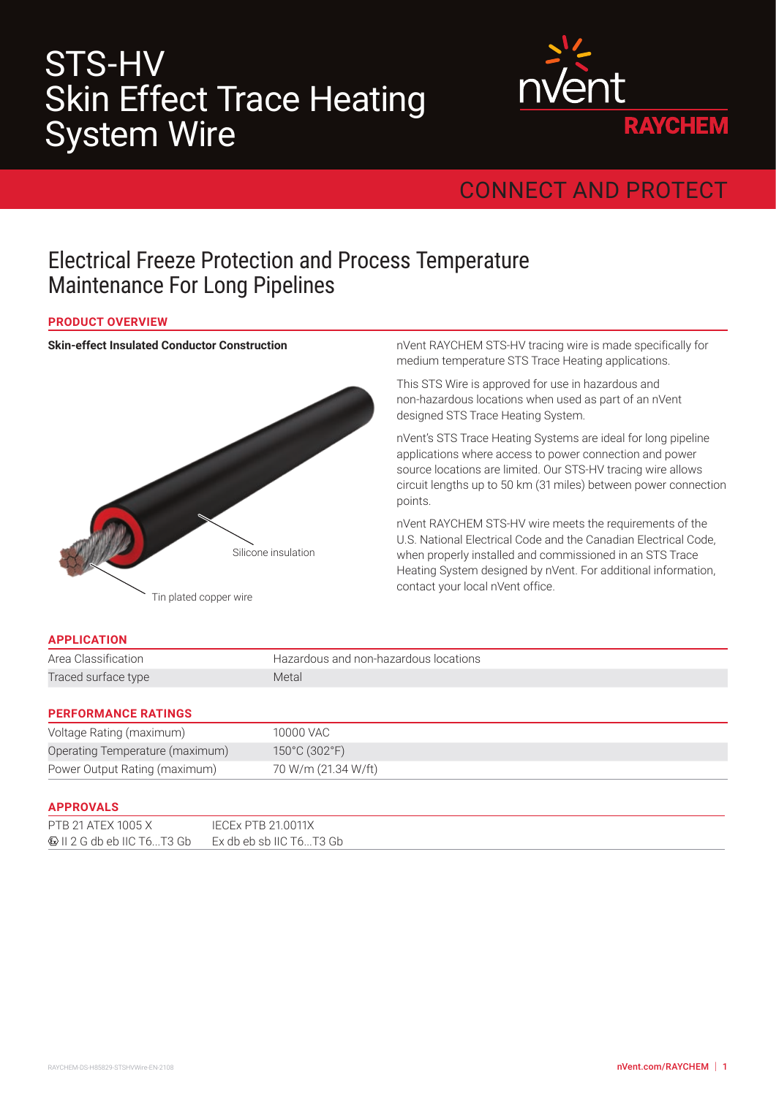# STS-HV Skin Effect Trace Heating System Wire



## CONNECT AND PROTECT

### Electrical Freeze Protection and Process Temperature Maintenance For Long Pipelines

#### **PRODUCT OVERVIEW**

#### **Skin-effect Insulated Conductor Construction**



nVent RAYCHEM STS-HV tracing wire is made specifically for medium temperature STS Trace Heating applications.

This STS Wire is approved for use in hazardous and non-hazardous locations when used as part of an nVent designed STS Trace Heating System.

nVent's STS Trace Heating Systems are ideal for long pipeline applications where access to power connection and power source locations are limited. Our STS-HV tracing wire allows circuit lengths up to 50 km (31 miles) between power connection points.

nVent RAYCHEM STS-HV wire meets the requirements of the U.S. National Electrical Code and the Canadian Electrical Code, when properly installed and commissioned in an STS Trace Heating System designed by nVent. For additional information, contact your local nVent office.

#### **APPLICATION**

| Area Classification | Hazardous and non-hazardous locations |
|---------------------|---------------------------------------|
| Traced surface type | Metal                                 |
|                     |                                       |

#### **PERFORMANCE RATINGS**

| Voltage Rating (maximum)        | 10000 VAC                          |
|---------------------------------|------------------------------------|
| Operating Temperature (maximum) | $150^{\circ}$ C (302 $^{\circ}$ F) |
| Power Output Rating (maximum)   | 70 W/m (21.34 W/ft)                |

#### **APPROVALS**

| .                                                           |                    |  |
|-------------------------------------------------------------|--------------------|--|
| PTB 21 ATEX 1005 X                                          | IECEx PTB 21.0011X |  |
| $\bigcirc$ II 2 G db eb IIC T6T3 Gb Ex db eb sb IIC T6T3 Gb |                    |  |